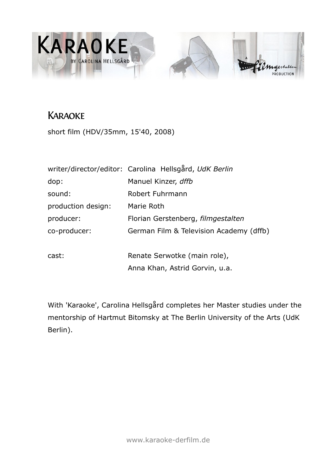

# **KARAOKE**

short film (HDV/35mm, 15'40, 2008)

|                    | writer/director/editor: Carolina Hellsgård, UdK Berlin |  |  |
|--------------------|--------------------------------------------------------|--|--|
| dop:               | Manuel Kinzer, dffb                                    |  |  |
| sound:             | Robert Fuhrmann                                        |  |  |
| production design: | Marie Roth                                             |  |  |
| producer:          | Florian Gerstenberg, filmgestalten                     |  |  |
| co-producer:       | German Film & Television Academy (dffb)                |  |  |
|                    |                                                        |  |  |
| cast:              | Renate Serwotke (main role),                           |  |  |
|                    | Anna Khan, Astrid Gorvin, u.a.                         |  |  |

With 'Karaoke', Carolina Hellsgård completes her Master studies under the mentorship of Hartmut Bitomsky at The Berlin University of the Arts (UdK Berlin).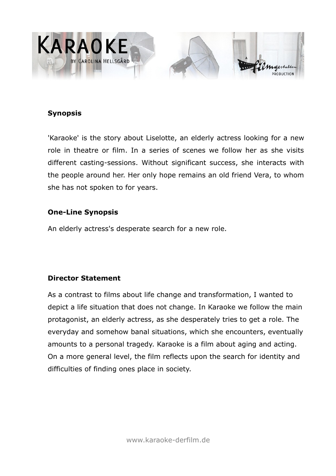

#### **Synopsis**

'Karaoke' is the story about Liselotte, an elderly actress looking for a new role in theatre or film. In a series of scenes we follow her as she visits different casting-sessions. Without significant success, she interacts with the people around her. Her only hope remains an old friend Vera, to whom she has not spoken to for years.

#### **One-Line Synopsis**

An elderly actress's desperate search for a new role.

## **Director Statement**

As a contrast to films about life change and transformation, I wanted to depict a life situation that does not change. In Karaoke we follow the main protagonist, an elderly actress, as she desperately tries to get a role. The everyday and somehow banal situations, which she encounters, eventually amounts to a personal tragedy. Karaoke is a film about aging and acting. On a more general level, the film reflects upon the search for identity and difficulties of finding ones place in society.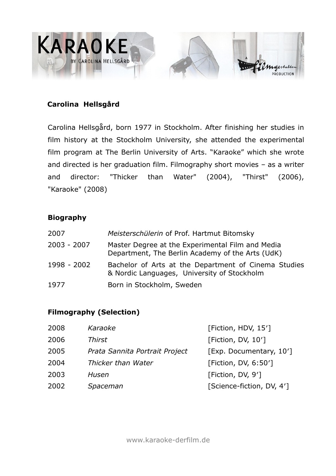

## **Carolina Hellsgård**

Carolina Hellsgård, born 1977 in Stockholm. After finishing her studies in film history at the Stockholm University, she attended the experimental film program at The Berlin University of Arts. "Karaoke" which she wrote and directed is her graduation film. Filmography short movies – as a writer and director: "Thicker than Water" (2004), "Thirst" (2006), "Karaoke" (2008)

## **Biography**

| 2007        | Meisterschülerin of Prof. Hartmut Bitomsky                                                           |
|-------------|------------------------------------------------------------------------------------------------------|
| 2003 - 2007 | Master Degree at the Experimental Film and Media<br>Department, The Berlin Academy of the Arts (UdK) |
| 1998 - 2002 | Bachelor of Arts at the Department of Cinema Studies<br>& Nordic Languages, University of Stockholm  |
| 1977        | Born in Stockholm, Sweden                                                                            |

## **Filmography (Selection)**

| 2008 | Karaoke                        | [Fiction, HDV, 15']       |
|------|--------------------------------|---------------------------|
| 2006 | Thirst                         | [Fiction, DV, 10']        |
| 2005 | Prata Sannita Portrait Project | [Exp. Documentary, 10']   |
| 2004 | Thicker than Water             | [Fiction, DV, 6:50']      |
| 2003 | Husen                          | [Fiction, DV, 9']         |
| 2002 | Spaceman                       | [Science-fiction, DV, 4'] |